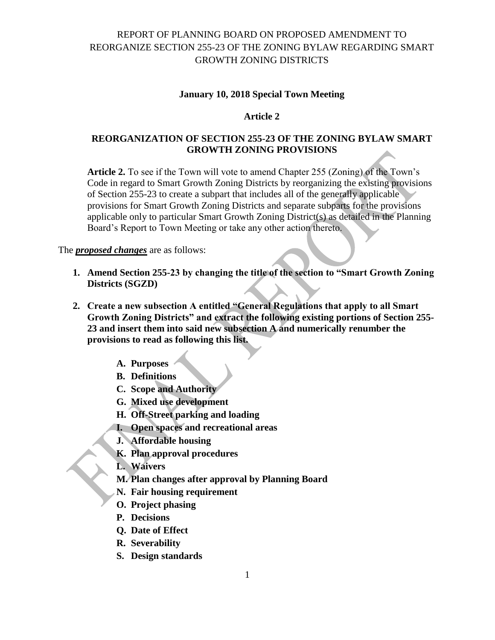### **January 10, 2018 Special Town Meeting**

### **Article 2**

### **REORGANIZATION OF SECTION 255-23 OF THE ZONING BYLAW SMART GROWTH ZONING PROVISIONS**

**Article 2.** To see if the Town will vote to amend Chapter 255 (Zoning) of the Town's Code in regard to Smart Growth Zoning Districts by reorganizing the existing provisions of Section 255-23 to create a subpart that includes all of the generally applicable provisions for Smart Growth Zoning Districts and separate subparts for the provisions applicable only to particular Smart Growth Zoning District(s) as detailed in the Planning Board's Report to Town Meeting or take any other action thereto.

The *proposed changes* are as follows:

- **1. Amend Section 255-23 by changing the title of the section to "Smart Growth Zoning Districts (SGZD)**
- **2. Create a new subsection A entitled "General Regulations that apply to all Smart Growth Zoning Districts" and extract the following existing portions of Section 255- 23 and insert them into said new subsection A and numerically renumber the provisions to read as following this list.**
	- **A. Purposes**
	- **B. Definitions**
	- **C. Scope and Authority**
	- **G. Mixed use development**
	- **H. Off-Street parking and loading**
	- **I. Open spaces and recreational areas**
	- **J. Affordable housing**
	- **K. Plan approval procedures**
	- **L. Waivers**
	- **M. Plan changes after approval by Planning Board**
	- **N. Fair housing requirement**
	- **O. Project phasing**
	- **P. Decisions**
	- **Q. Date of Effect**
	- **R. Severability**
	- **S. Design standards**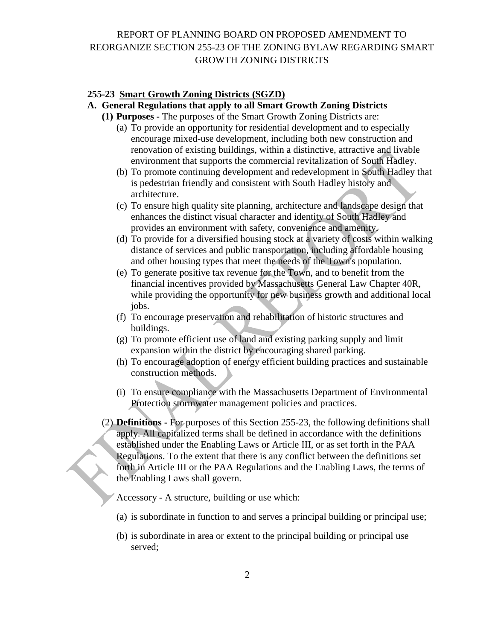### **255-23 Smart Growth Zoning Districts (SGZD)**

### **A. General Regulations that apply to all Smart Growth Zoning Districts**

- **(1) Purposes -** The purposes of the Smart Growth Zoning Districts are:
	- (a) To provide an opportunity for residential development and to especially encourage mixed-use development, including both new construction and renovation of existing buildings, within a distinctive, attractive and livable environment that supports the commercial revitalization of South Hadley.
	- (b) To promote continuing development and redevelopment in South Hadley that is pedestrian friendly and consistent with South Hadley history and architecture.
	- (c) To ensure high quality site planning, architecture and landscape design that enhances the distinct visual character and identity of South Hadley and provides an environment with safety, convenience and amenity.
	- (d) To provide for a diversified housing stock at a variety of costs within walking distance of services and public transportation, including affordable housing and other housing types that meet the needs of the Town's population.
	- (e) To generate positive tax revenue for the Town, and to benefit from the financial incentives provided by Massachusetts General Law Chapter 40R, while providing the opportunity for new business growth and additional local jobs.
	- (f) To encourage preservation and rehabilitation of historic structures and buildings.
	- (g) To promote efficient use of land and existing parking supply and limit expansion within the district by encouraging shared parking.
	- (h) To encourage adoption of energy efficient building practices and sustainable construction methods.
	- (i) To ensure compliance with the Massachusetts Department of Environmental Protection stormwater management policies and practices.
- (2) **Definitions -** For purposes of this Section 255-23, the following definitions shall apply. All capitalized terms shall be defined in accordance with the definitions established under the Enabling Laws or Article III, or as set forth in the PAA Regulations. To the extent that there is any conflict between the definitions set forth in Article III or the PAA Regulations and the Enabling Laws, the terms of the Enabling Laws shall govern.

Accessory - A structure, building or use which:

- (a) is subordinate in function to and serves a principal building or principal use;
- (b) is subordinate in area or extent to the principal building or principal use served;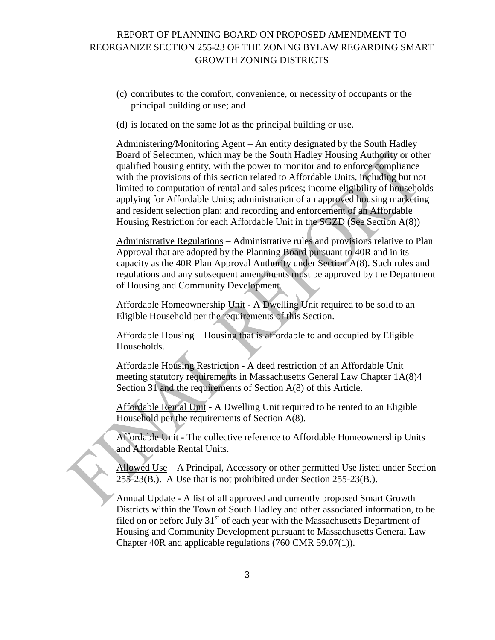- (c) contributes to the comfort, convenience, or necessity of occupants or the principal building or use; and
- (d) is located on the same lot as the principal building or use.

Administering/Monitoring Agent – An entity designated by the South Hadley Board of Selectmen, which may be the South Hadley Housing Authority or other qualified housing entity, with the power to monitor and to enforce compliance with the provisions of this section related to Affordable Units, including but not limited to computation of rental and sales prices; income eligibility of households applying for Affordable Units; administration of an approved housing marketing and resident selection plan; and recording and enforcement of an Affordable Housing Restriction for each Affordable Unit in the SGZD (See Section A(8))

Administrative Regulations – Administrative rules and provisions relative to Plan Approval that are adopted by the Planning Board pursuant to 40R and in its capacity as the 40R Plan Approval Authority under Section A(8). Such rules and regulations and any subsequent amendments must be approved by the Department of Housing and Community Development.

Affordable Homeownership Unit **-** A Dwelling Unit required to be sold to an Eligible Household per the requirements of this Section.

Affordable Housing – Housing that is affordable to and occupied by Eligible Households.

Affordable Housing Restriction **-** A deed restriction of an Affordable Unit meeting statutory requirements in Massachusetts General Law Chapter 1A(8)4 Section 31 and the requirements of Section A(8) of this Article.

Affordable Rental Unit **-** A Dwelling Unit required to be rented to an Eligible Household per the requirements of Section A(8).

Affordable Unit **-** The collective reference to Affordable Homeownership Units and Affordable Rental Units.

Allowed Use – A Principal, Accessory or other permitted Use listed under Section 255-23(B.). A Use that is not prohibited under Section 255-23(B.).

Annual Update **-** A list of all approved and currently proposed Smart Growth Districts within the Town of South Hadley and other associated information, to be filed on or before July  $31<sup>st</sup>$  of each year with the Massachusetts Department of Housing and Community Development pursuant to Massachusetts General Law Chapter 40R and applicable regulations (760 CMR 59.07(1)).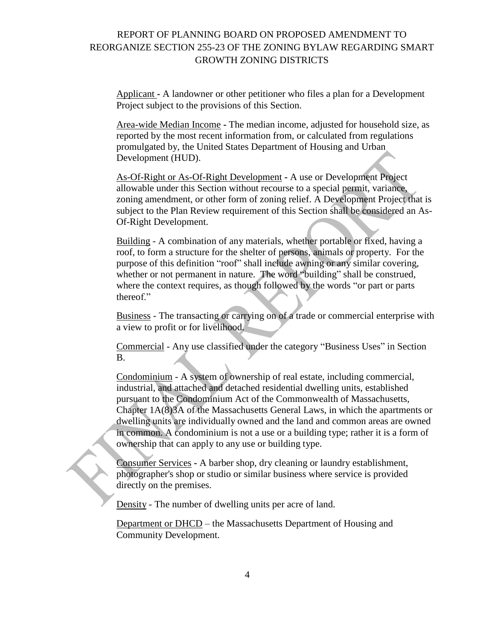Applicant **-** A landowner or other petitioner who files a plan for a Development Project subject to the provisions of this Section.

Area-wide Median Income **-** The median income, adjusted for household size, as reported by the most recent information from, or calculated from regulations promulgated by, the United States Department of Housing and Urban Development (HUD).

As-Of-Right or As-Of-Right Development **-** A use or Development Project allowable under this Section without recourse to a special permit, variance, zoning amendment, or other form of zoning relief. A Development Project that is subject to the Plan Review requirement of this Section shall be considered an As-Of-Right Development.

Building - A combination of any materials, whether portable or fixed, having a roof, to form a structure for the shelter of persons, animals or property. For the purpose of this definition "roof" shall include awning or any similar covering, whether or not permanent in nature. The word "building" shall be construed, where the context requires, as though followed by the words "or part or parts thereof."

Business - The transacting or carrying on of a trade or commercial enterprise with a view to profit or for livelihood.

Commercial - Any use classified under the category "Business Uses" in Section B.

Condominium - A system of ownership of real estate, including commercial, industrial, and attached and detached residential dwelling units, established pursuant to the Condominium Act of the Commonwealth of Massachusetts, Chapter 1A(8)3A of the Massachusetts General Laws, in which the apartments or dwelling units are individually owned and the land and common areas are owned in common. A condominium is not a use or a building type; rather it is a form of ownership that can apply to any use or building type.

Consumer Services **-** A barber shop, dry cleaning or laundry establishment, photographer's shop or studio or similar business where service is provided directly on the premises.

Density - The number of dwelling units per acre of land.

Department or DHCD – the Massachusetts Department of Housing and Community Development.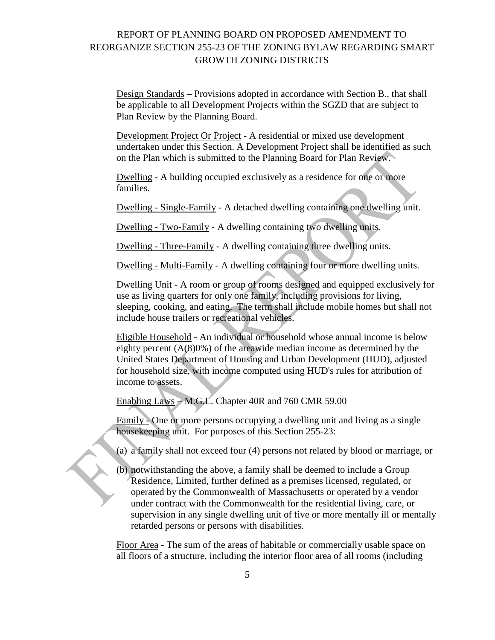Design Standards **–** Provisions adopted in accordance with Section B., that shall be applicable to all Development Projects within the SGZD that are subject to Plan Review by the Planning Board.

Development Project Or Project **-** A residential or mixed use development undertaken under this Section. A Development Project shall be identified as such on the Plan which is submitted to the Planning Board for Plan Review.

Dwelling - A building occupied exclusively as a residence for one or more families.

Dwelling - Single-Family - A detached dwelling containing one dwelling unit.

Dwelling - Two-Family - A dwelling containing two dwelling units.

Dwelling - Three-Family - A dwelling containing three dwelling units.

Dwelling - Multi-Family - A dwelling containing four or more dwelling units.

Dwelling Unit - A room or group of rooms designed and equipped exclusively for use as living quarters for only one family, including provisions for living, sleeping, cooking, and eating. The term shall include mobile homes but shall not include house trailers or recreational vehicles.

Eligible Household **-** An individual or household whose annual income is below eighty percent (A(8)0%) of the areawide median income as determined by the United States Department of Housing and Urban Development (HUD), adjusted for household size, with income computed using HUD's rules for attribution of income to assets.

Enabling Laws – M.G.L. Chapter 40R and 760 CMR 59.00

Family - One or more persons occupying a dwelling unit and living as a single housekeeping unit. For purposes of this Section 255-23:

(a) a family shall not exceed four (4) persons not related by blood or marriage, or

(b) notwithstanding the above, a family shall be deemed to include a Group Residence, Limited, further defined as a premises licensed, regulated, or operated by the Commonwealth of Massachusetts or operated by a vendor under contract with the Commonwealth for the residential living, care, or supervision in any single dwelling unit of five or more mentally ill or mentally retarded persons or persons with disabilities.

Floor Area - The sum of the areas of habitable or commercially usable space on all floors of a structure, including the interior floor area of all rooms (including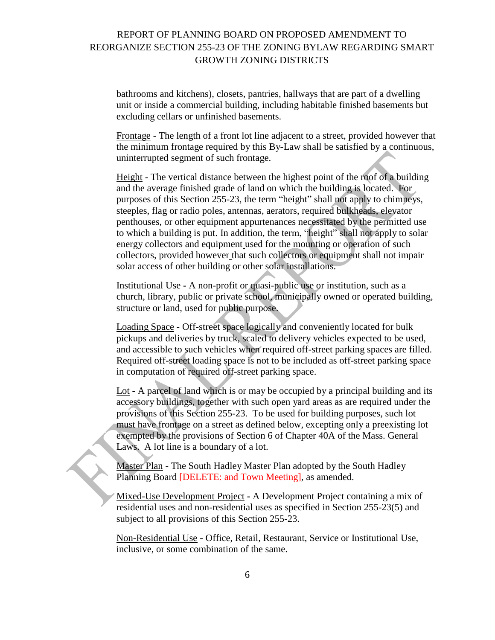bathrooms and kitchens), closets, pantries, hallways that are part of a dwelling unit or inside a commercial building, including habitable finished basements but excluding cellars or unfinished basements.

Frontage - The length of a front lot line adjacent to a street, provided however that the minimum frontage required by this By-Law shall be satisfied by a continuous, uninterrupted segment of such frontage.

Height - The vertical distance between the highest point of the roof of a building and the average finished grade of land on which the building is located. For purposes of this Section 255-23, the term "height" shall not apply to chimneys, steeples, flag or radio poles, antennas, aerators, required bulkheads, elevator penthouses, or other equipment appurtenances necessitated by the permitted use to which a building is put. In addition, the term, "height" shall not apply to solar energy collectors and equipment used for the mounting or operation of such collectors, provided however that such collectors or equipment shall not impair solar access of other building or other solar installations.

Institutional Use **-** A non-profit or quasi-public use or institution, such as a church, library, public or private school, municipally owned or operated building, structure or land, used for public purpose.

Loading Space - Off-street space logically and conveniently located for bulk pickups and deliveries by truck, scaled to delivery vehicles expected to be used, and accessible to such vehicles when required off-street parking spaces are filled. Required off-street loading space is not to be included as off-street parking space in computation of required off-street parking space.

Lot - A parcel of land which is or may be occupied by a principal building and its accessory buildings, together with such open yard areas as are required under the provisions of this Section 255-23. To be used for building purposes, such lot must have frontage on a street as defined below, excepting only a preexisting lot exempted by the provisions of Section 6 of Chapter 40A of the Mass. General Laws. A lot line is a boundary of a lot.

Master Plan - The South Hadley Master Plan adopted by the South Hadley Planning Board [DELETE: and Town Meeting], as amended.

Mixed-Use Development Project **-** A Development Project containing a mix of residential uses and non-residential uses as specified in Section 255-23(5) and subject to all provisions of this Section 255-23.

Non-Residential Use **-** Office, Retail, Restaurant, Service or Institutional Use, inclusive, or some combination of the same.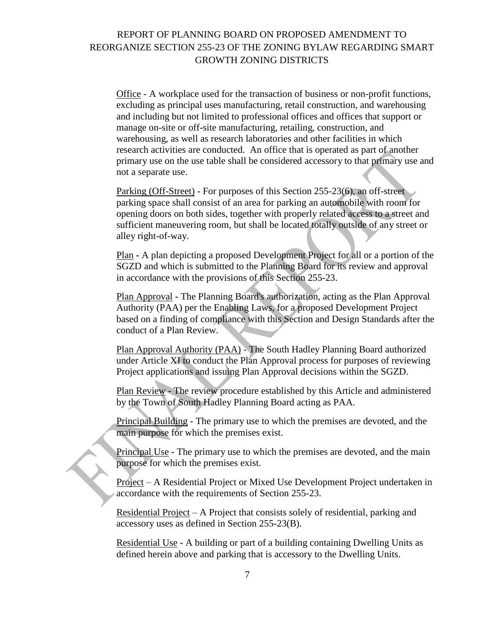Office - A workplace used for the transaction of business or non-profit functions, excluding as principal uses manufacturing, retail construction, and warehousing and including but not limited to professional offices and offices that support or manage on-site or off-site manufacturing, retailing, construction, and warehousing, as well as research laboratories and other facilities in which research activities are conducted. An office that is operated as part of another primary use on the use table shall be considered accessory to that primary use and not a separate use.

Parking (Off-Street) - For purposes of this Section 255-23(6), an off-street parking space shall consist of an area for parking an automobile with room for opening doors on both sides, together with properly related access to a street and sufficient maneuvering room, but shall be located totally outside of any street or alley right-of-way.

Plan **-** A plan depicting a proposed Development Project for all or a portion of the SGZD and which is submitted to the Planning Board for its review and approval in accordance with the provisions of this Section 255-23.

Plan Approval **-** The Planning Board's authorization, acting as the Plan Approval Authority (PAA) per the Enabling Laws, for a proposed Development Project based on a finding of compliance with this Section and Design Standards after the conduct of a Plan Review.

Plan Approval Authority (PAA) - The South Hadley Planning Board authorized under Article XI to conduct the Plan Approval process for purposes of reviewing Project applications and issuing Plan Approval decisions within the SGZD.

Plan Review **-** The review procedure established by this Article and administered by the Town of South Hadley Planning Board acting as PAA.

Principal Building - The primary use to which the premises are devoted, and the main purpose for which the premises exist.

Principal Use - The primary use to which the premises are devoted, and the main purpose for which the premises exist.

Project – A Residential Project or Mixed Use Development Project undertaken in accordance with the requirements of Section 255-23.

Residential Project – A Project that consists solely of residential, parking and accessory uses as defined in Section 255-23(B).

Residential Use **-** A building or part of a building containing Dwelling Units as defined herein above and parking that is accessory to the Dwelling Units.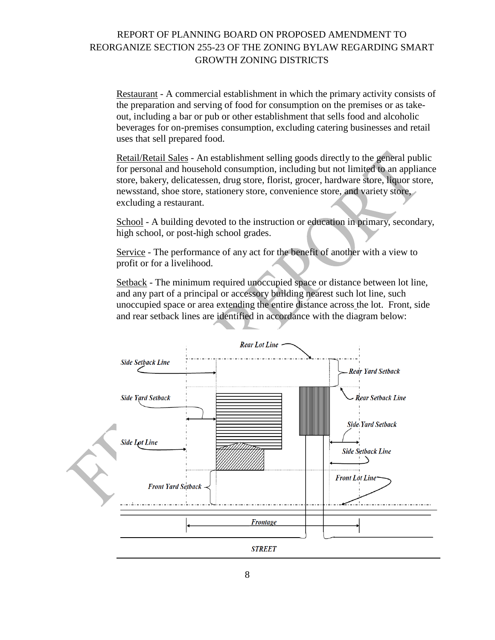Restaurant - A commercial establishment in which the primary activity consists of the preparation and serving of food for consumption on the premises or as takeout, including a bar or pub or other establishment that sells food and alcoholic beverages for on-premises consumption, excluding catering businesses and retail uses that sell prepared food.

Retail/Retail Sales - An establishment selling goods directly to the general public for personal and household consumption, including but not limited to an appliance store, bakery, delicatessen, drug store, florist, grocer, hardware store, liquor store, newsstand, shoe store, stationery store, convenience store, and variety store, excluding a restaurant.

School - A building devoted to the instruction or education in primary, secondary, high school, or post-high school grades.

Service - The performance of any act for the benefit of another with a view to profit or for a livelihood.

Setback - The minimum required unoccupied space or distance between lot line, and any part of a principal or accessory building nearest such lot line, such unoccupied space or area extending the entire distance across the lot. Front, side and rear setback lines are identified in accordance with the diagram below:

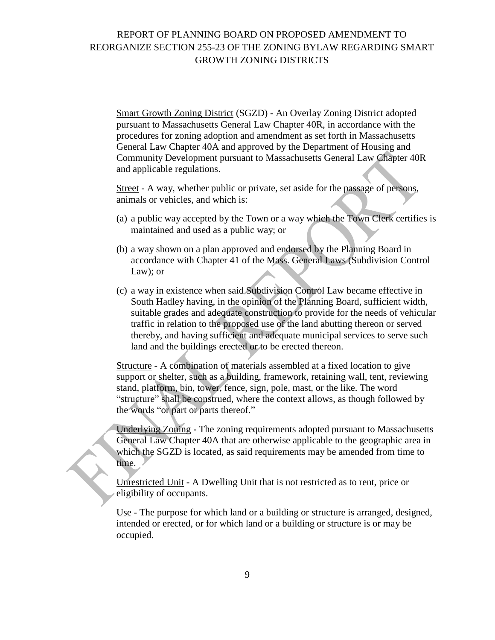Smart Growth Zoning District (SGZD) **-** An Overlay Zoning District adopted pursuant to Massachusetts General Law Chapter 40R, in accordance with the procedures for zoning adoption and amendment as set forth in Massachusetts General Law Chapter 40A and approved by the Department of Housing and Community Development pursuant to Massachusetts General Law Chapter 40R and applicable regulations.

Street - A way, whether public or private, set aside for the passage of persons, animals or vehicles, and which is:

- (a) a public way accepted by the Town or a way which the Town Clerk certifies is maintained and used as a public way; or
- (b) a way shown on a plan approved and endorsed by the Planning Board in accordance with Chapter 41 of the Mass. General Laws (Subdivision Control Law); or
- (c) a way in existence when said Subdivision Control Law became effective in South Hadley having, in the opinion of the Planning Board, sufficient width, suitable grades and adequate construction to provide for the needs of vehicular traffic in relation to the proposed use of the land abutting thereon or served thereby, and having sufficient and adequate municipal services to serve such land and the buildings erected or to be erected thereon.

Structure - A combination of materials assembled at a fixed location to give support or shelter, such as a building, framework, retaining wall, tent, reviewing stand, platform, bin, tower, fence, sign, pole, mast, or the like. The word "structure" shall be construed, where the context allows, as though followed by the words "or part or parts thereof."

Underlying Zoning **-** The zoning requirements adopted pursuant to Massachusetts General Law Chapter 40A that are otherwise applicable to the geographic area in which the SGZD is located, as said requirements may be amended from time to time.

Unrestricted Unit **-** A Dwelling Unit that is not restricted as to rent, price or eligibility of occupants.

Use - The purpose for which land or a building or structure is arranged, designed, intended or erected, or for which land or a building or structure is or may be occupied.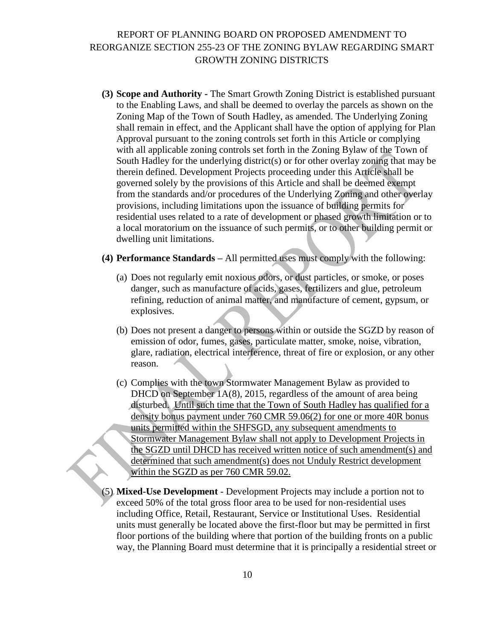- **(3) Scope and Authority -** The Smart Growth Zoning District is established pursuant to the Enabling Laws, and shall be deemed to overlay the parcels as shown on the Zoning Map of the Town of South Hadley, as amended. The Underlying Zoning shall remain in effect, and the Applicant shall have the option of applying for Plan Approval pursuant to the zoning controls set forth in this Article or complying with all applicable zoning controls set forth in the Zoning Bylaw of the Town of South Hadley for the underlying district(s) or for other overlay zoning that may be therein defined. Development Projects proceeding under this Article shall be governed solely by the provisions of this Article and shall be deemed exempt from the standards and/or procedures of the Underlying Zoning and other overlay provisions, including limitations upon the issuance of building permits for residential uses related to a rate of development or phased growth limitation or to a local moratorium on the issuance of such permits, or to other building permit or dwelling unit limitations.
- **(4) Performance Standards –** All permitted uses must comply with the following:
	- (a) Does not regularly emit noxious odors, or dust particles, or smoke, or poses danger, such as manufacture of acids, gases, fertilizers and glue, petroleum refining, reduction of animal matter, and manufacture of cement, gypsum, or explosives.
	- (b) Does not present a danger to persons within or outside the SGZD by reason of emission of odor, fumes, gases, particulate matter, smoke, noise, vibration, glare, radiation, electrical interference, threat of fire or explosion, or any other reason.
	- (c) Complies with the town Stormwater Management Bylaw as provided to DHCD on September 1A(8), 2015, regardless of the amount of area being disturbed. Until such time that the Town of South Hadley has qualified for a density bonus payment under 760 CMR 59.06(2) for one or more 40R bonus units permitted within the SHFSGD, any subsequent amendments to Stormwater Management Bylaw shall not apply to Development Projects in the SGZD until DHCD has received written notice of such amendment(s) and determined that such amendment(s) does not Unduly Restrict development within the SGZD as per 760 CMR 59.02.
- (5) **Mixed-Use Development** Development Projects may include a portion not to exceed 50% of the total gross floor area to be used for non-residential uses including Office, Retail, Restaurant, Service or Institutional Uses. Residential units must generally be located above the first-floor but may be permitted in first floor portions of the building where that portion of the building fronts on a public way, the Planning Board must determine that it is principally a residential street or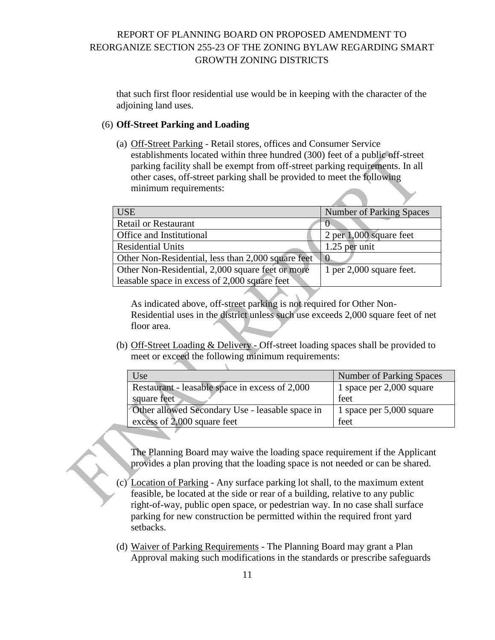that such first floor residential use would be in keeping with the character of the adjoining land uses.

### (6) **Off-Street Parking and Loading**

(a) Off-Street Parking - Retail stores, offices and Consumer Service establishments located within three hundred (300) feet of a public off-street parking facility shall be exempt from off-street parking requirements. In all other cases, off-street parking shall be provided to meet the following minimum requirements:

| <b>USE</b>                                         | <b>Number of Parking Spaces</b> |
|----------------------------------------------------|---------------------------------|
| <b>Retail or Restaurant</b>                        |                                 |
| Office and Institutional                           | 2 per 1,000 square feet         |
| <b>Residential Units</b>                           | 1.25 per unit                   |
| Other Non-Residential, less than 2,000 square feet | $\cup$                          |
| Other Non-Residential, 2,000 square feet or more   | 1 per $2,000$ square feet.      |
| leasable space in excess of 2,000 square feet      |                                 |
|                                                    |                                 |

As indicated above, off-street parking is not required for Other Non-Residential uses in the district unless such use exceeds 2,000 square feet of net floor area.

(b) Off-Street Loading & Delivery - Off-street loading spaces shall be provided to meet or exceed the following minimum requirements:

| Use                                             | <b>Number of Parking Spaces</b> |
|-------------------------------------------------|---------------------------------|
| Restaurant - leasable space in excess of 2,000  | 1 space per 2,000 square        |
| square feet                                     | feet                            |
| Other allowed Secondary Use - leasable space in | 1 space per 5,000 square        |
| excess of 2,000 square feet                     | feet                            |

The Planning Board may waive the loading space requirement if the Applicant provides a plan proving that the loading space is not needed or can be shared.

- (c) Location of Parking Any surface parking lot shall, to the maximum extent feasible, be located at the side or rear of a building, relative to any public right-of-way, public open space, or pedestrian way. In no case shall surface parking for new construction be permitted within the required front yard setbacks.
- (d) Waiver of Parking Requirements The Planning Board may grant a Plan Approval making such modifications in the standards or prescribe safeguards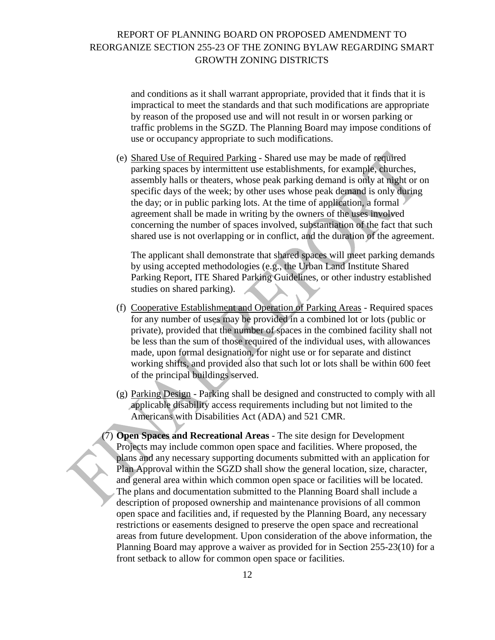and conditions as it shall warrant appropriate, provided that it finds that it is impractical to meet the standards and that such modifications are appropriate by reason of the proposed use and will not result in or worsen parking or traffic problems in the SGZD. The Planning Board may impose conditions of use or occupancy appropriate to such modifications.

(e) Shared Use of Required Parking - Shared use may be made of required parking spaces by intermittent use establishments, for example, churches, assembly halls or theaters, whose peak parking demand is only at night or on specific days of the week; by other uses whose peak demand is only during the day; or in public parking lots. At the time of application, a formal agreement shall be made in writing by the owners of the uses involved concerning the number of spaces involved, substantiation of the fact that such shared use is not overlapping or in conflict, and the duration of the agreement.

The applicant shall demonstrate that shared spaces will meet parking demands by using accepted methodologies (e.g., the Urban Land Institute Shared Parking Report, ITE Shared Parking Guidelines, or other industry established studies on shared parking).

- (f) Cooperative Establishment and Operation of Parking Areas Required spaces for any number of uses may be provided in a combined lot or lots (public or private), provided that the number of spaces in the combined facility shall not be less than the sum of those required of the individual uses, with allowances made, upon formal designation, for night use or for separate and distinct working shifts, and provided also that such lot or lots shall be within 600 feet of the principal buildings served.
- (g) Parking Design Parking shall be designed and constructed to comply with all applicable disability access requirements including but not limited to the Americans with Disabilities Act (ADA) and 521 CMR.
- (7) **Open Spaces and Recreational Areas** The site design for Development Projects may include common open space and facilities. Where proposed, the plans and any necessary supporting documents submitted with an application for Plan Approval within the SGZD shall show the general location, size, character, and general area within which common open space or facilities will be located. The plans and documentation submitted to the Planning Board shall include a description of proposed ownership and maintenance provisions of all common open space and facilities and, if requested by the Planning Board, any necessary restrictions or easements designed to preserve the open space and recreational areas from future development. Upon consideration of the above information, the Planning Board may approve a waiver as provided for in Section 255-23(10) for a front setback to allow for common open space or facilities.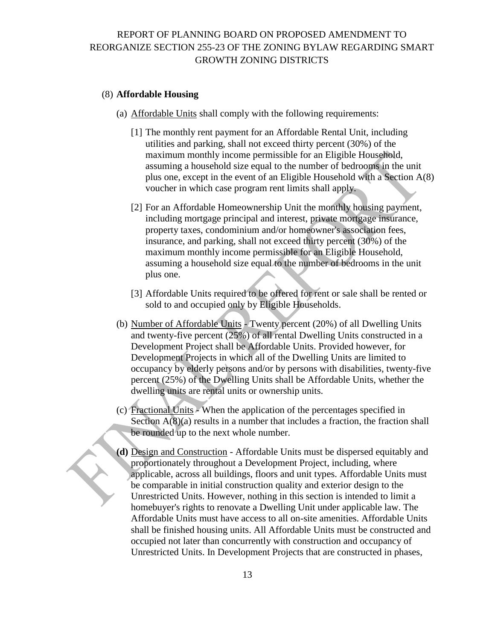#### (8) **Affordable Housing**

- (a) Affordable Units shall comply with the following requirements:
	- [1] The monthly rent payment for an Affordable Rental Unit, including utilities and parking, shall not exceed thirty percent (30%) of the maximum monthly income permissible for an Eligible Household, assuming a household size equal to the number of bedrooms in the unit plus one, except in the event of an Eligible Household with a Section A(8) voucher in which case program rent limits shall apply.
	- [2] For an Affordable Homeownership Unit the monthly housing payment, including mortgage principal and interest, private mortgage insurance, property taxes, condominium and/or homeowner's association fees, insurance, and parking, shall not exceed thirty percent (30%) of the maximum monthly income permissible for an Eligible Household, assuming a household size equal to the number of bedrooms in the unit plus one.
	- [3] Affordable Units required to be offered for rent or sale shall be rented or sold to and occupied only by Eligible Households.
- (b) Number of Affordable Units Twenty percent (20%) of all Dwelling Units and twenty-five percent (25%) of all rental Dwelling Units constructed in a Development Project shall be Affordable Units. Provided however, for Development Projects in which all of the Dwelling Units are limited to occupancy by elderly persons and/or by persons with disabilities, twenty-five percent (25%) of the Dwelling Units shall be Affordable Units, whether the dwelling units are rental units or ownership units.
- (c) Fractional Units When the application of the percentages specified in Section  $A(8)(a)$  results in a number that includes a fraction, the fraction shall be rounded up to the next whole number.
- **(d)** Design and Construction Affordable Units must be dispersed equitably and proportionately throughout a Development Project, including, where applicable, across all buildings, floors and unit types. Affordable Units must be comparable in initial construction quality and exterior design to the Unrestricted Units. However, nothing in this section is intended to limit a homebuyer's rights to renovate a Dwelling Unit under applicable law. The Affordable Units must have access to all on-site amenities. Affordable Units shall be finished housing units. All Affordable Units must be constructed and occupied not later than concurrently with construction and occupancy of Unrestricted Units. In Development Projects that are constructed in phases,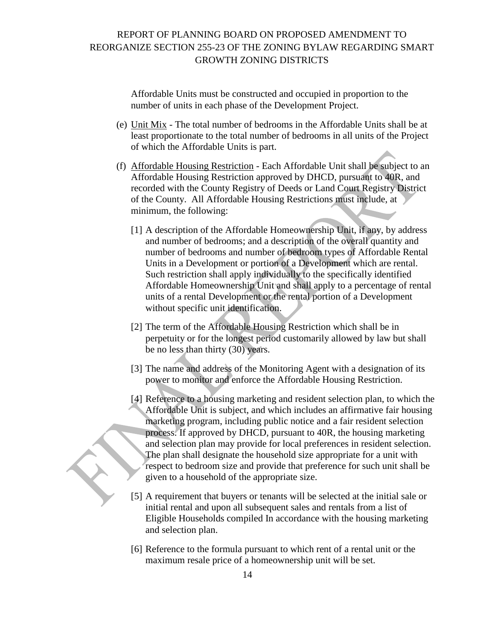Affordable Units must be constructed and occupied in proportion to the number of units in each phase of the Development Project.

- (e) Unit Mix The total number of bedrooms in the Affordable Units shall be at least proportionate to the total number of bedrooms in all units of the Project of which the Affordable Units is part.
- (f) Affordable Housing Restriction Each Affordable Unit shall be subject to an Affordable Housing Restriction approved by DHCD, pursuant to 40R, and recorded with the County Registry of Deeds or Land Court Registry District of the County. All Affordable Housing Restrictions must include, at minimum, the following:
	- [1] A description of the Affordable Homeownership Unit, if any, by address and number of bedrooms; and a description of the overall quantity and number of bedrooms and number of bedroom types of Affordable Rental Units in a Development or portion of a Development which are rental. Such restriction shall apply individually to the specifically identified Affordable Homeownership Unit and shall apply to a percentage of rental units of a rental Development or the rental portion of a Development without specific unit identification.
	- [2] The term of the Affordable Housing Restriction which shall be in perpetuity or for the longest period customarily allowed by law but shall be no less than thirty (30) years.
	- [3] The name and address of the Monitoring Agent with a designation of its power to monitor and enforce the Affordable Housing Restriction.
	- [4] Reference to a housing marketing and resident selection plan, to which the Affordable Unit is subject, and which includes an affirmative fair housing marketing program, including public notice and a fair resident selection process. If approved by DHCD, pursuant to 40R, the housing marketing and selection plan may provide for local preferences in resident selection. The plan shall designate the household size appropriate for a unit with respect to bedroom size and provide that preference for such unit shall be given to a household of the appropriate size.
	- [5] A requirement that buyers or tenants will be selected at the initial sale or initial rental and upon all subsequent sales and rentals from a list of Eligible Households compiled In accordance with the housing marketing and selection plan.
	- [6] Reference to the formula pursuant to which rent of a rental unit or the maximum resale price of a homeownership unit will be set.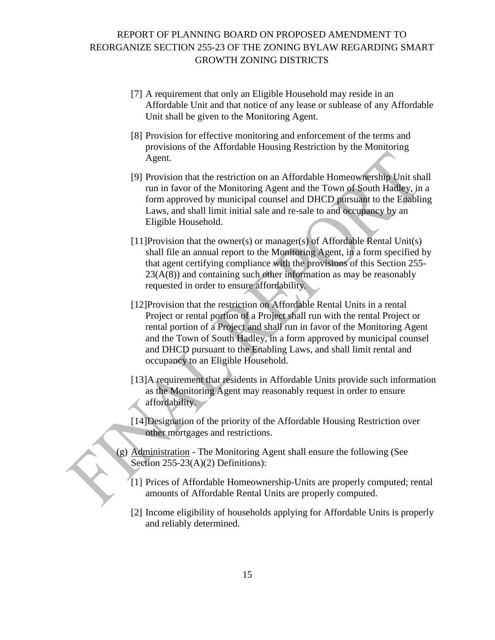- [7] A requirement that only an Eligible Household may reside in an Affordable Unit and that notice of any lease or sublease of any Affordable Unit shall be given to the Monitoring Agent.
- [8] Provision for effective monitoring and enforcement of the terms and provisions of the Affordable Housing Restriction by the Monitoring Agent.
- [9] Provision that the restriction on an Affordable Homeownership Unit shall run in favor of the Monitoring Agent and the Town of South Hadley, in a form approved by municipal counsel and DHCD pursuant to the Enabling Laws, and shall limit initial sale and re-sale to and occupancy by an Eligible Household.
- [11]Provision that the owner(s) or manager(s) of Affordable Rental Unit(s) shall file an annual report to the Monitoring Agent, in a form specified by that agent certifying compliance with the provisions of this Section 255-  $23(A(8))$  and containing such other information as may be reasonably requested in order to ensure affordability.
- [12]Provision that the restriction on Affordable Rental Units in a rental Project or rental portion of a Project shall run with the rental Project or rental portion of a Project and shall run in favor of the Monitoring Agent and the Town of South Hadley, in a form approved by municipal counsel and DHCD pursuant to the Enabling Laws, and shall limit rental and occupancy to an Eligible Household.
- [13]A requirement that residents in Affordable Units provide such information as the Monitoring Agent may reasonably request in order to ensure affordability.
- [14]Designation of the priority of the Affordable Housing Restriction over other mortgages and restrictions.
- (g) Administration The Monitoring Agent shall ensure the following (See Section 255-23(A)(2) Definitions):
	- [1] Prices of Affordable Homeownership-Units are properly computed; rental amounts of Affordable Rental Units are properly computed.
	- [2] Income eligibility of households applying for Affordable Units is properly and reliably determined.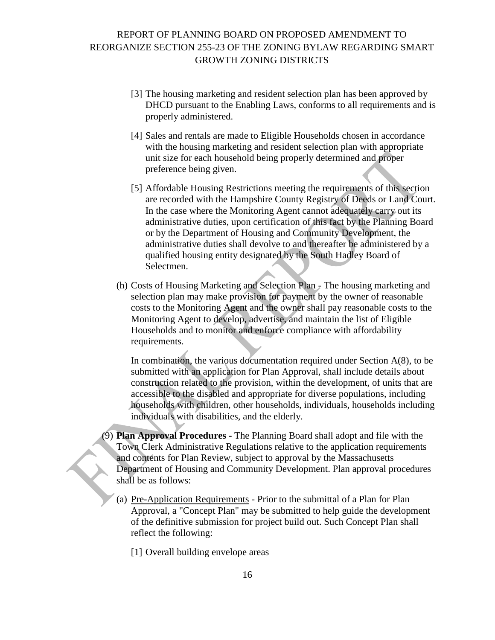- [3] The housing marketing and resident selection plan has been approved by DHCD pursuant to the Enabling Laws, conforms to all requirements and is properly administered.
- [4] Sales and rentals are made to Eligible Households chosen in accordance with the housing marketing and resident selection plan with appropriate unit size for each household being properly determined and proper preference being given.
- [5] Affordable Housing Restrictions meeting the requirements of this section are recorded with the Hampshire County Registry of Deeds or Land Court. In the case where the Monitoring Agent cannot adequately carry out its administrative duties, upon certification of this fact by the Planning Board or by the Department of Housing and Community Development, the administrative duties shall devolve to and thereafter be administered by a qualified housing entity designated by the South Hadley Board of Selectmen.
- (h) Costs of Housing Marketing and Selection Plan The housing marketing and selection plan may make provision for payment by the owner of reasonable costs to the Monitoring Agent and the owner shall pay reasonable costs to the Monitoring Agent to develop, advertise, and maintain the list of Eligible Households and to monitor and enforce compliance with affordability requirements.

In combination, the various documentation required under Section  $A(8)$ , to be submitted with an application for Plan Approval, shall include details about construction related to the provision, within the development, of units that are accessible to the disabled and appropriate for diverse populations, including households with children, other households, individuals, households including individuals with disabilities, and the elderly.

- (9) **Plan Approval Procedures -** The Planning Board shall adopt and file with the Town Clerk Administrative Regulations relative to the application requirements and contents for Plan Review, subject to approval by the Massachusetts Department of Housing and Community Development. Plan approval procedures shall be as follows:
	- (a) Pre-Application Requirements Prior to the submittal of a Plan for Plan Approval, a "Concept Plan" may be submitted to help guide the development of the definitive submission for project build out. Such Concept Plan shall reflect the following:
		- [1] Overall building envelope areas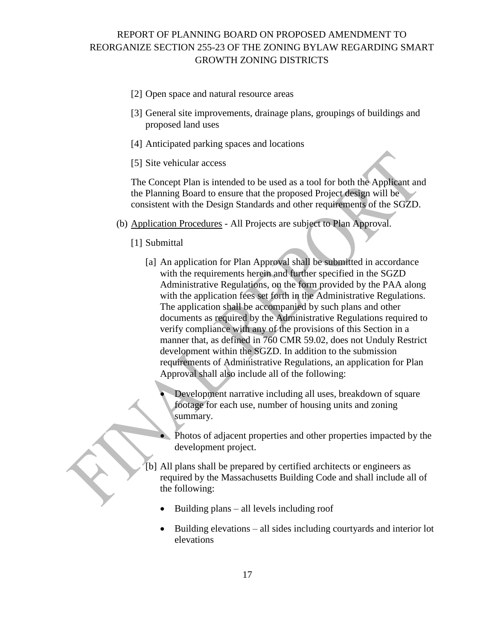- [2] Open space and natural resource areas
- [3] General site improvements, drainage plans, groupings of buildings and proposed land uses
- [4] Anticipated parking spaces and locations
- [5] Site vehicular access

The Concept Plan is intended to be used as a tool for both the Applicant and the Planning Board to ensure that the proposed Project design will be consistent with the Design Standards and other requirements of the SGZD.

- (b) Application Procedures All Projects are subject to Plan Approval.
	- [1] Submittal
		- [a] An application for Plan Approval shall be submitted in accordance with the requirements herein and further specified in the SGZD Administrative Regulations, on the form provided by the PAA along with the application fees set forth in the Administrative Regulations. The application shall be accompanied by such plans and other documents as required by the Administrative Regulations required to verify compliance with any of the provisions of this Section in a manner that, as defined in 760 CMR 59.02, does not Unduly Restrict development within the SGZD. In addition to the submission requirements of Administrative Regulations, an application for Plan Approval shall also include all of the following:
			- Development narrative including all uses, breakdown of square footage for each use, number of housing units and zoning summary.
			- Photos of adjacent properties and other properties impacted by the development project.
		- [b] All plans shall be prepared by certified architects or engineers as required by the Massachusetts Building Code and shall include all of the following:
			- $\bullet$  Building plans all levels including roof
			- $\bullet$  Building elevations all sides including courtyards and interior lot elevations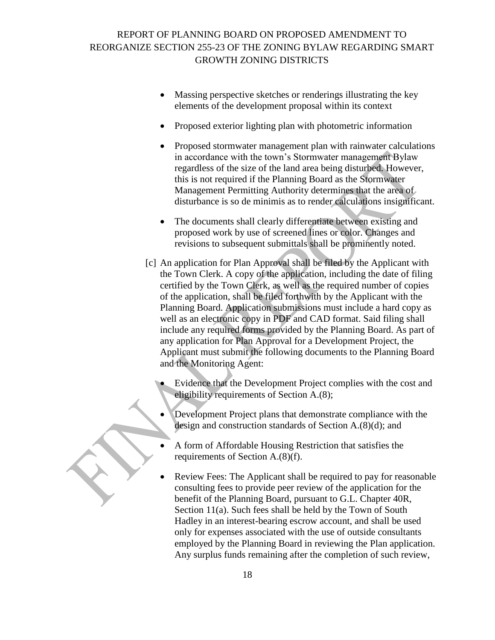- Massing perspective sketches or renderings illustrating the key elements of the development proposal within its context
- Proposed exterior lighting plan with photometric information
- Proposed stormwater management plan with rainwater calculations in accordance with the town's Stormwater management Bylaw regardless of the size of the land area being disturbed. However, this is not required if the Planning Board as the Stormwater Management Permitting Authority determines that the area of disturbance is so de minimis as to render calculations insignificant.
- The documents shall clearly differentiate between existing and proposed work by use of screened lines or color. Changes and revisions to subsequent submittals shall be prominently noted.
- [c] An application for Plan Approval shall be filed by the Applicant with the Town Clerk. A copy of the application, including the date of filing certified by the Town Clerk, as well as the required number of copies of the application, shall be filed forthwith by the Applicant with the Planning Board. Application submissions must include a hard copy as well as an electronic copy in PDF and CAD format. Said filing shall include any required forms provided by the Planning Board. As part of any application for Plan Approval for a Development Project, the Applicant must submit the following documents to the Planning Board and the Monitoring Agent:
	- Evidence that the Development Project complies with the cost and eligibility requirements of Section A.(8);
	- Development Project plans that demonstrate compliance with the design and construction standards of Section A.(8)(d); and
	- A form of Affordable Housing Restriction that satisfies the requirements of Section A.(8)(f).
	- Review Fees: The Applicant shall be required to pay for reasonable consulting fees to provide peer review of the application for the benefit of the Planning Board, pursuant to G.L. Chapter 40R, Section 11(a). Such fees shall be held by the Town of South Hadley in an interest-bearing escrow account, and shall be used only for expenses associated with the use of outside consultants employed by the Planning Board in reviewing the Plan application. Any surplus funds remaining after the completion of such review,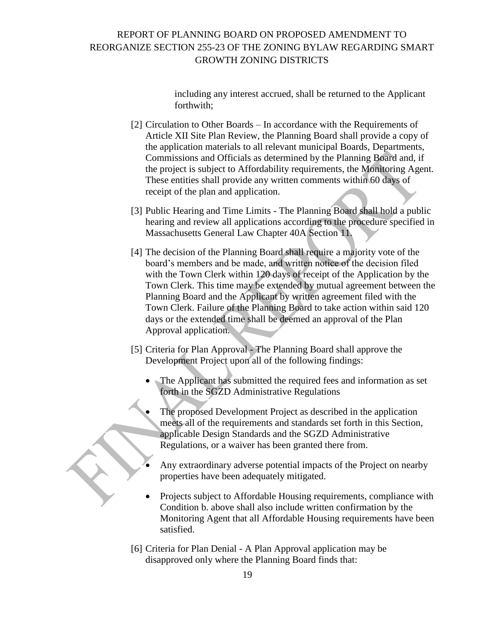including any interest accrued, shall be returned to the Applicant forthwith;

- [2] Circulation to Other Boards In accordance with the Requirements of Article XII Site Plan Review, the Planning Board shall provide a copy of the application materials to all relevant municipal Boards, Departments, Commissions and Officials as determined by the Planning Board and, if the project is subject to Affordability requirements, the Monitoring Agent. These entities shall provide any written comments within 60 days of receipt of the plan and application.
- [3] Public Hearing and Time Limits The Planning Board shall hold a public hearing and review all applications according to the procedure specified in Massachusetts General Law Chapter 40A Section 11.
- [4] The decision of the Planning Board shall require a majority vote of the board's members and be made, and written notice of the decision filed with the Town Clerk within 120 days of receipt of the Application by the Town Clerk. This time may be extended by mutual agreement between the Planning Board and the Applicant by written agreement filed with the Town Clerk. Failure of the Planning Board to take action within said 120 days or the extended time shall be deemed an approval of the Plan Approval application.
- [5] Criteria for Plan Approval The Planning Board shall approve the Development Project upon all of the following findings:
	- The Applicant has submitted the required fees and information as set forth in the SGZD Administrative Regulations
	- The proposed Development Project as described in the application meets all of the requirements and standards set forth in this Section, applicable Design Standards and the SGZD Administrative Regulations, or a waiver has been granted there from.
	- Any extraordinary adverse potential impacts of the Project on nearby properties have been adequately mitigated.
	- Projects subject to Affordable Housing requirements, compliance with Condition b. above shall also include written confirmation by the Monitoring Agent that all Affordable Housing requirements have been satisfied.
- [6] Criteria for Plan Denial A Plan Approval application may be disapproved only where the Planning Board finds that: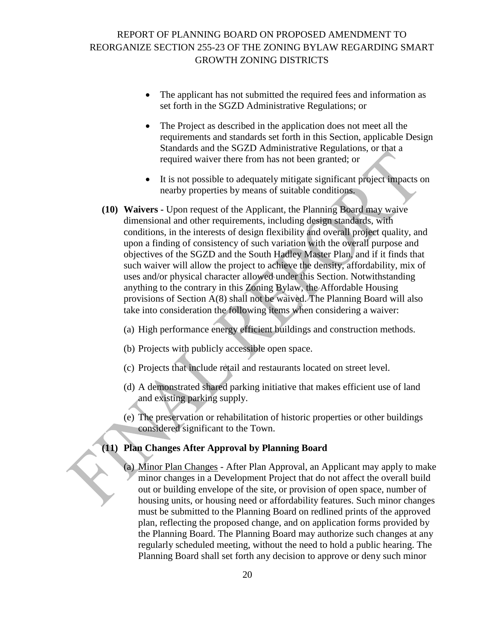- The applicant has not submitted the required fees and information as set forth in the SGZD Administrative Regulations; or
- The Project as described in the application does not meet all the requirements and standards set forth in this Section, applicable Design Standards and the SGZD Administrative Regulations, or that a required waiver there from has not been granted; or
- It is not possible to adequately mitigate significant project impacts on nearby properties by means of suitable conditions.
- **(10) Waivers -** Upon request of the Applicant, the Planning Board may waive dimensional and other requirements, including design standards, with conditions, in the interests of design flexibility and overall project quality, and upon a finding of consistency of such variation with the overall purpose and objectives of the SGZD and the South Hadley Master Plan, and if it finds that such waiver will allow the project to achieve the density, affordability, mix of uses and/or physical character allowed under this Section. Notwithstanding anything to the contrary in this Zoning Bylaw, the Affordable Housing provisions of Section A(8) shall not be waived. The Planning Board will also take into consideration the following items when considering a waiver:
	- (a) High performance energy efficient buildings and construction methods.
	- (b) Projects with publicly accessible open space.
	- (c) Projects that include retail and restaurants located on street level.
	- (d) A demonstrated shared parking initiative that makes efficient use of land and existing parking supply.
	- (e) The preservation or rehabilitation of historic properties or other buildings considered significant to the Town.

#### **(11) Plan Changes After Approval by Planning Board**

(a) Minor Plan Changes - After Plan Approval, an Applicant may apply to make minor changes in a Development Project that do not affect the overall build out or building envelope of the site, or provision of open space, number of housing units, or housing need or affordability features. Such minor changes must be submitted to the Planning Board on redlined prints of the approved plan, reflecting the proposed change, and on application forms provided by the Planning Board. The Planning Board may authorize such changes at any regularly scheduled meeting, without the need to hold a public hearing. The Planning Board shall set forth any decision to approve or deny such minor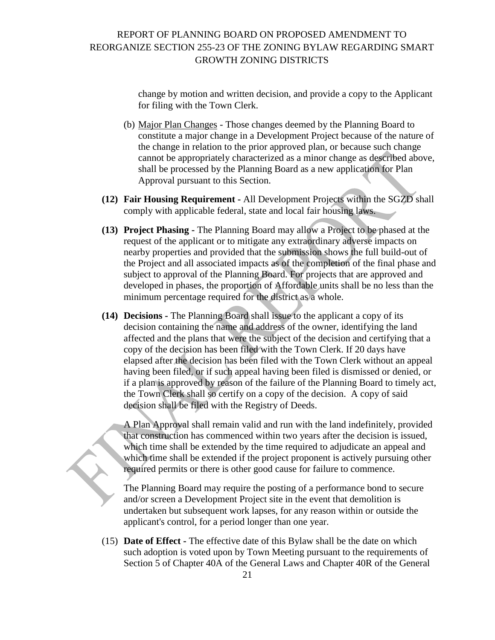change by motion and written decision, and provide a copy to the Applicant for filing with the Town Clerk.

- (b) Major Plan Changes Those changes deemed by the Planning Board to constitute a major change in a Development Project because of the nature of the change in relation to the prior approved plan, or because such change cannot be appropriately characterized as a minor change as described above, shall be processed by the Planning Board as a new application for Plan Approval pursuant to this Section.
- **(12) Fair Housing Requirement -** All Development Projects within the SGZD shall comply with applicable federal, state and local fair housing laws.
- **(13) Project Phasing -** The Planning Board may allow a Project to be phased at the request of the applicant or to mitigate any extraordinary adverse impacts on nearby properties and provided that the submission shows the full build-out of the Project and all associated impacts as of the completion of the final phase and subject to approval of the Planning Board. For projects that are approved and developed in phases, the proportion of Affordable units shall be no less than the minimum percentage required for the district as a whole.
- **(14) Decisions -** The Planning Board shall issue to the applicant a copy of its decision containing the name and address of the owner, identifying the land affected and the plans that were the subject of the decision and certifying that a copy of the decision has been filed with the Town Clerk. If 20 days have elapsed after the decision has been filed with the Town Clerk without an appeal having been filed, or if such appeal having been filed is dismissed or denied, or if a plan is approved by reason of the failure of the Planning Board to timely act, the Town Clerk shall so certify on a copy of the decision. A copy of said decision shall be filed with the Registry of Deeds.

A Plan Approval shall remain valid and run with the land indefinitely, provided that construction has commenced within two years after the decision is issued, which time shall be extended by the time required to adjudicate an appeal and which time shall be extended if the project proponent is actively pursuing other required permits or there is other good cause for failure to commence.

The Planning Board may require the posting of a performance bond to secure and/or screen a Development Project site in the event that demolition is undertaken but subsequent work lapses, for any reason within or outside the applicant's control, for a period longer than one year.

(15) **Date of Effect -** The effective date of this Bylaw shall be the date on which such adoption is voted upon by Town Meeting pursuant to the requirements of Section 5 of Chapter 40A of the General Laws and Chapter 40R of the General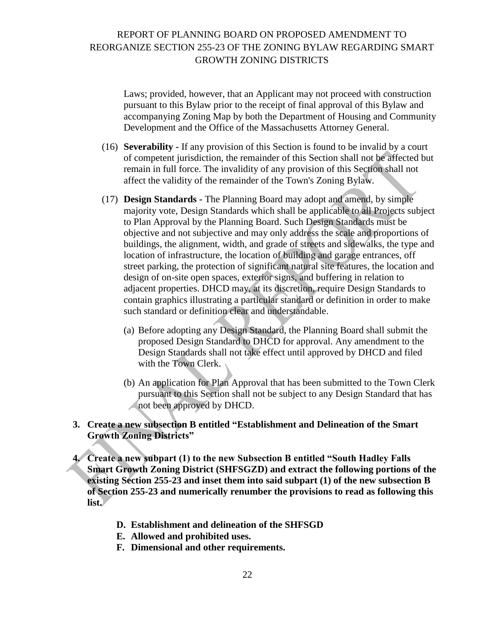Laws; provided, however, that an Applicant may not proceed with construction pursuant to this Bylaw prior to the receipt of final approval of this Bylaw and accompanying Zoning Map by both the Department of Housing and Community Development and the Office of the Massachusetts Attorney General.

- (16) **Severability -** If any provision of this Section is found to be invalid by a court of competent jurisdiction, the remainder of this Section shall not be affected but remain in full force. The invalidity of any provision of this Section shall not affect the validity of the remainder of the Town's Zoning Bylaw.
- (17) **Design Standards -** The Planning Board may adopt and amend, by simple majority vote, Design Standards which shall be applicable to all Projects subject to Plan Approval by the Planning Board. Such Design Standards must be objective and not subjective and may only address the scale and proportions of buildings, the alignment, width, and grade of streets and sidewalks, the type and location of infrastructure, the location of building and garage entrances, off street parking, the protection of significant natural site features, the location and design of on-site open spaces, exterior signs, and buffering in relation to adjacent properties. DHCD may, at its discretion, require Design Standards to contain graphics illustrating a particular standard or definition in order to make such standard or definition clear and understandable.
	- (a) Before adopting any Design Standard, the Planning Board shall submit the proposed Design Standard to DHCD for approval. Any amendment to the Design Standards shall not take effect until approved by DHCD and filed with the Town Clerk.
	- (b) An application for Plan Approval that has been submitted to the Town Clerk pursuant to this Section shall not be subject to any Design Standard that has not been approved by DHCD.

### **3. Create a new subsection B entitled "Establishment and Delineation of the Smart Growth Zoning Districts"**

- **4. Create a new subpart (1) to the new Subsection B entitled "South Hadley Falls Smart Growth Zoning District (SHFSGZD) and extract the following portions of the existing Section 255-23 and inset them into said subpart (1) of the new subsection B of Section 255-23 and numerically renumber the provisions to read as following this list.**
	- **D. Establishment and delineation of the SHFSGD**
	- **E. Allowed and prohibited uses.**
	- **F. Dimensional and other requirements.**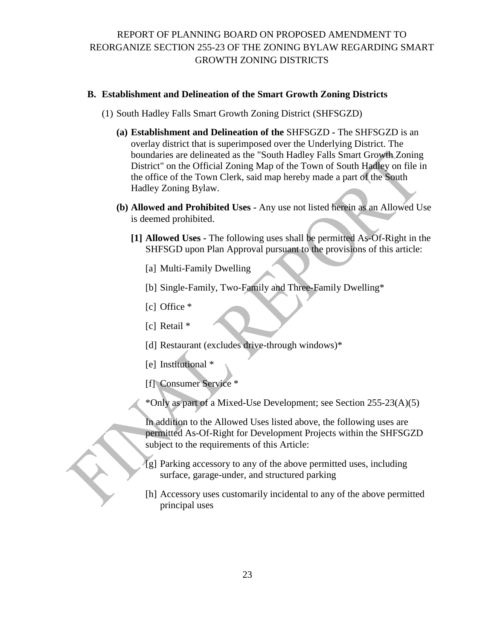### **B. Establishment and Delineation of the Smart Growth Zoning Districts**

- (1) South Hadley Falls Smart Growth Zoning District (SHFSGZD)
	- **(a) Establishment and Delineation of the** SHFSGZD **-** The SHFSGZD is an overlay district that is superimposed over the Underlying District. The boundaries are delineated as the "South Hadley Falls Smart Growth Zoning District" on the Official Zoning Map of the Town of South Hadley on file in the office of the Town Clerk, said map hereby made a part of the South Hadley Zoning Bylaw.
	- **(b) Allowed and Prohibited Uses -** Any use not listed herein as an Allowed Use is deemed prohibited.
		- **[1] Allowed Uses -** The following uses shall be permitted As-Of-Right in the SHFSGD upon Plan Approval pursuant to the provisions of this article:
			- [a] Multi-Family Dwelling
			- [b] Single-Family, Two-Family and Three-Family Dwelling\*
			- [c] Office \*
			- [c] Retail \*
			- [d] Restaurant (excludes drive-through windows)\*
			- [e] Institutional \*
			- [f] Consumer Service \*
			- \*Only as part of a Mixed-Use Development; see Section 255-23(A)(5)

In addition to the Allowed Uses listed above, the following uses are permitted As-Of-Right for Development Projects within the SHFSGZD subject to the requirements of this Article:

- [g] Parking accessory to any of the above permitted uses, including surface, garage-under, and structured parking
- [h] Accessory uses customarily incidental to any of the above permitted principal uses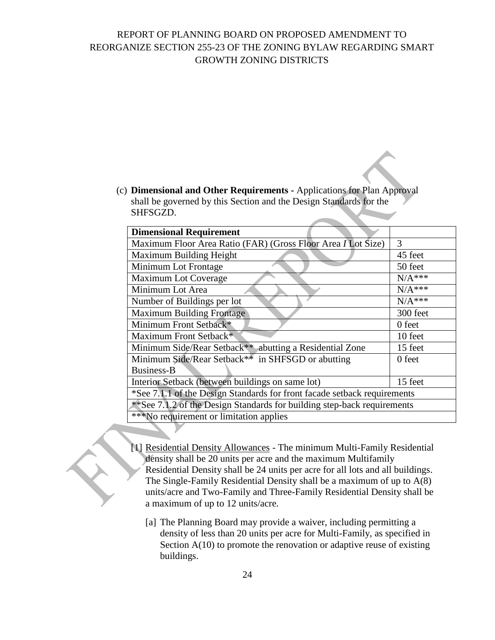(c) **Dimensional and Other Requirements -** Applications for Plan Approval shall be governed by this Section and the Design Standards for the SHFSGZD.

| <b>Dimensional Requirement</b>                                           |               |  |
|--------------------------------------------------------------------------|---------------|--|
| Maximum Floor Area Ratio (FAR) (Gross Floor Area <i>I</i> Lot Size)      | $\mathcal{R}$ |  |
| Maximum Building Height                                                  | 45 feet       |  |
| Minimum Lot Frontage                                                     | 50 feet       |  |
| <b>Maximum Lot Coverage</b>                                              | $N/A***$      |  |
| Minimum Lot Area                                                         | $N/A***$      |  |
| Number of Buildings per lot                                              | $N/A***$      |  |
| <b>Maximum Building Frontage</b>                                         | 300 feet      |  |
| Minimum Front Setback*                                                   | 0 feet        |  |
| Maximum Front Setback*                                                   | 10 feet       |  |
| Minimum Side/Rear Setback** abutting a Residential Zone                  | 15 feet       |  |
| Minimum Side/Rear Setback <sup>**</sup> in SHFSGD or abutting            | 0 feet        |  |
| Business-B                                                               |               |  |
| Interior Setback (between buildings on same lot)                         | 15 feet       |  |
| *See 7.1.1 of the Design Standards for front facade setback requirements |               |  |
| **See 7.1.2 of the Design Standards for building step-back requirements  |               |  |
| ***No requirement or limitation applies                                  |               |  |
|                                                                          |               |  |

- [1] Residential Density Allowances The minimum Multi-Family Residential density shall be 20 units per acre and the maximum Multifamily Residential Density shall be 24 units per acre for all lots and all buildings. The Single-Family Residential Density shall be a maximum of up to A(8) units/acre and Two-Family and Three-Family Residential Density shall be a maximum of up to 12 units/acre.
	- [a] The Planning Board may provide a waiver, including permitting a density of less than 20 units per acre for Multi-Family, as specified in Section A(10) to promote the renovation or adaptive reuse of existing buildings.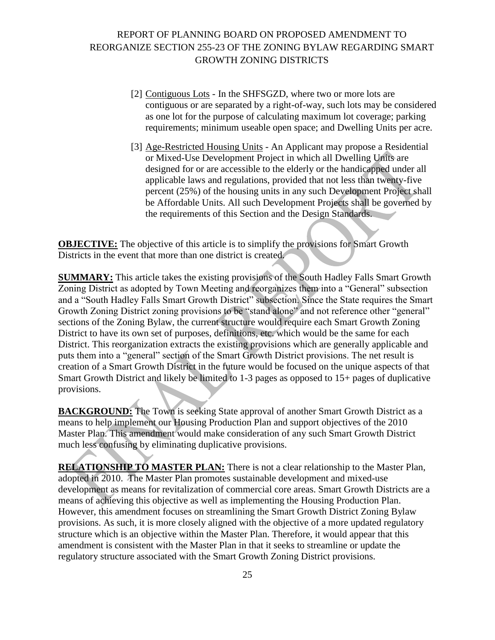- [2] Contiguous Lots In the SHFSGZD, where two or more lots are contiguous or are separated by a right-of-way, such lots may be considered as one lot for the purpose of calculating maximum lot coverage; parking requirements; minimum useable open space; and Dwelling Units per acre.
- [3] Age-Restricted Housing Units An Applicant may propose a Residential or Mixed-Use Development Project in which all Dwelling Units are designed for or are accessible to the elderly or the handicapped under all applicable laws and regulations, provided that not less than twenty-five percent (25%) of the housing units in any such Development Project shall be Affordable Units. All such Development Projects shall be governed by the requirements of this Section and the Design Standards.

**OBJECTIVE:** The objective of this article is to simplify the provisions for Smart Growth Districts in the event that more than one district is created.

**SUMMARY:** This article takes the existing provisions of the South Hadley Falls Smart Growth Zoning District as adopted by Town Meeting and reorganizes them into a "General" subsection and a "South Hadley Falls Smart Growth District" subsection. Since the State requires the Smart Growth Zoning District zoning provisions to be "stand alone" and not reference other "general" sections of the Zoning Bylaw, the current structure would require each Smart Growth Zoning District to have its own set of purposes, definitions, etc. which would be the same for each District. This reorganization extracts the existing provisions which are generally applicable and puts them into a "general" section of the Smart Growth District provisions. The net result is creation of a Smart Growth District in the future would be focused on the unique aspects of that Smart Growth District and likely be limited to 1-3 pages as opposed to 15+ pages of duplicative provisions.

**BACKGROUND:** The Town is seeking State approval of another Smart Growth District as a means to help implement our Housing Production Plan and support objectives of the 2010 Master Plan. This amendment would make consideration of any such Smart Growth District much less confusing by eliminating duplicative provisions.

**RELATIONSHIP TO MASTER PLAN:** There is not a clear relationship to the Master Plan, adopted in 2010. The Master Plan promotes sustainable development and mixed-use development as means for revitalization of commercial core areas. Smart Growth Districts are a means of achieving this objective as well as implementing the Housing Production Plan. However, this amendment focuses on streamlining the Smart Growth District Zoning Bylaw provisions. As such, it is more closely aligned with the objective of a more updated regulatory structure which is an objective within the Master Plan. Therefore, it would appear that this amendment is consistent with the Master Plan in that it seeks to streamline or update the regulatory structure associated with the Smart Growth Zoning District provisions.